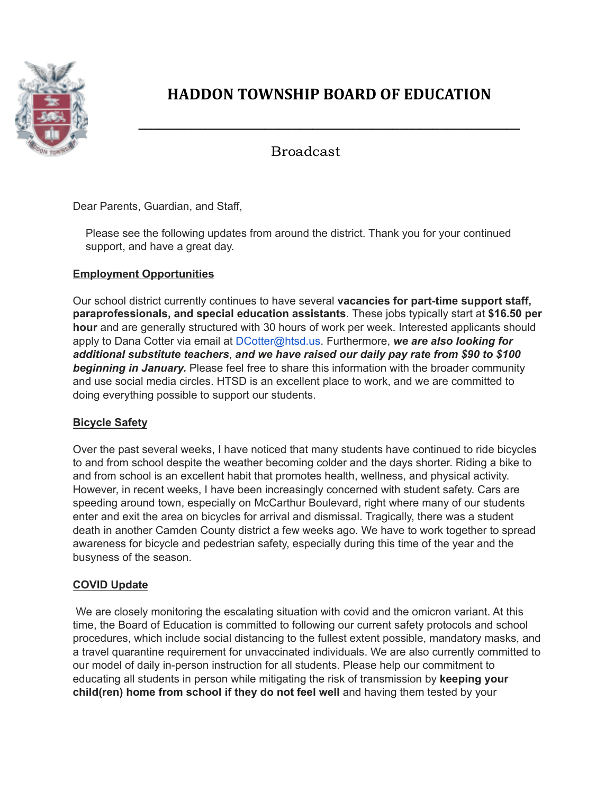

# **HADDON TOWNSHIP BOARD OF EDUCATION**

**\_\_\_\_\_\_\_\_\_\_\_\_\_\_\_\_\_\_\_\_\_\_\_\_\_\_\_\_\_\_\_\_\_\_\_\_\_\_\_\_\_\_\_\_\_\_\_\_\_\_\_\_\_\_\_\_\_**

Broadcast

Dear Parents, Guardian, and Staff,

Please see the following updates from around the district. Thank you for your continued support, and have a great day.

## **Employment Opportunities**

Our school district currently continues to have several **vacancies for part-time support staff, paraprofessionals, and special education assistants**. These jobs typically start at **\$16.50 per hour** and are generally structured with 30 hours of work per week. Interested applicants should apply to Dana Cotter via email at DCotter@htsd.us. Furthermore, *we are also looking for additional substitute teachers*, *and we have raised our daily pay rate from \$90 to \$100 beginning in January.* Please feel free to share this information with the broader community and use social media circles. HTSD is an excellent place to work, and we are committed to doing everything possible to support our students.

#### **Bicycle Safety**

Over the past several weeks, I have noticed that many students have continued to ride bicycles to and from school despite the weather becoming colder and the days shorter. Riding a bike to and from school is an excellent habit that promotes health, wellness, and physical activity. However, in recent weeks, I have been increasingly concerned with student safety. Cars are speeding around town, especially on McCarthur Boulevard, right where many of our students enter and exit the area on bicycles for arrival and dismissal. Tragically, there was a student death in another Camden County district a few weeks ago. We have to work together to spread awareness for bicycle and pedestrian safety, especially during this time of the year and the busyness of the season.

## **COVID Update**

We are closely monitoring the escalating situation with covid and the omicron variant. At this time, the Board of Education is committed to following our current safety protocols and school procedures, which include social distancing to the fullest extent possible, mandatory masks, and a travel quarantine requirement for unvaccinated individuals. We are also currently committed to our model of daily in-person instruction for all students. Please help our commitment to educating all students in person while mitigating the risk of transmission by **keeping your child(ren) home from school if they do not feel well** and having them tested by your